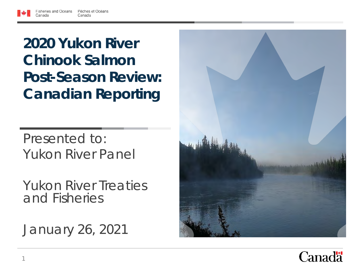**2020 Yukon River Chinook Salmon Post-Season Review: Canadian Reporting**

Presented to: Yukon River Panel

Yukon River Treaties and Fisheries

January 26, 2021



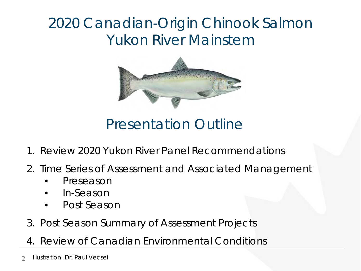### 2020 Canadian-Origin Chinook Salmon Yukon River Mainstem



Presentation Outline

- 1. Review 2020 Yukon River Panel Recommendations
- 2. Time Series of Assessment and Associated Management
	- Preseason
	- In-Season
	- Post Season
- 3. Post Season Summary of Assessment Projects
- 4. Review of Canadian Environmental Conditions
- 2 Illustration: Dr. Paul Vecsei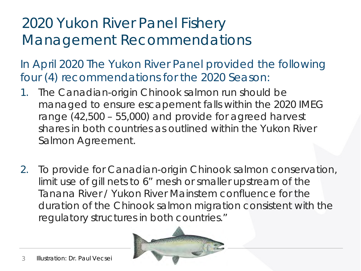## 2020 Yukon River Panel Fishery Management Recommendations

In April 2020 The Yukon River Panel provided the following four (4) recommendations for the 2020 Season:

- 1. The Canadian-origin Chinook salmon run should be managed to ensure escapement falls within the 2020 IMEG range (42,500 – 55,000) and provide for agreed harvest shares in both countries as outlined within the Yukon River Salmon Agreement.
- 2. To provide for Canadian-origin Chinook salmon conservation, limit use of gill nets to 6" mesh or smaller upstream of the Tanana River / Yukon River Mainstem confluence for the duration of the Chinook salmon migration consistent with the regulatory structures in both countries."

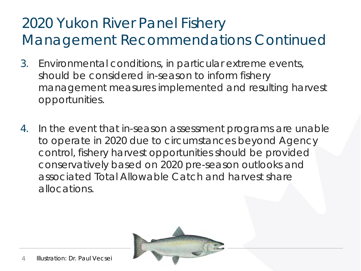# 2020 Yukon River Panel Fishery Management Recommendations Continued

- 3. Environmental conditions, in particular extreme events, should be considered in-season to inform fishery management measures implemented and resulting harvest opportunities.
- 4. In the event that in-season assessment programs are unable to operate in 2020 due to circumstances beyond Agency control, fishery harvest opportunities should be provided conservatively based on 2020 pre-season outlooks and associated Total Allowable Catch and harvest share allocations.

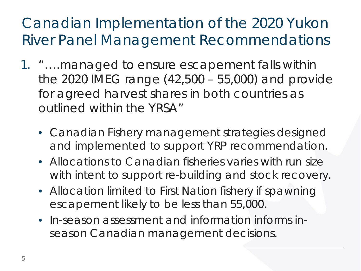- 1. "….managed to ensure escapement falls within the 2020 IMEG range (42,500 – 55,000) and provide for agreed harvest shares in both countries as outlined within the YRSA"
	- Canadian Fishery management strategies designed and implemented to support YRP recommendation.
	- Allocations to Canadian fisheries varies with run size with intent to support re-building and stock recovery.
	- Allocation limited to First Nation fishery if spawning escapement likely to be less than 55,000.
	- In-season assessment and information informs inseason Canadian management decisions.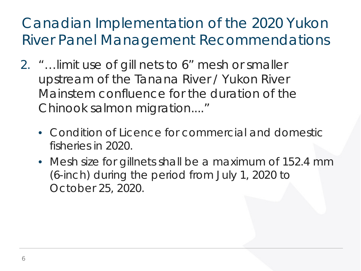- 2. "…limit use of gill nets to 6" mesh or smaller upstream of the Tanana River / Yukon River Mainstem confluence for the duration of the Chinook salmon migration...."
	- Condition of Licence for commercial and domestic fisheries in 2020.
	- Mesh size for gillnets shall be a maximum of 152.4 mm (6-inch) during the period from July 1, 2020 to October 25, 2020.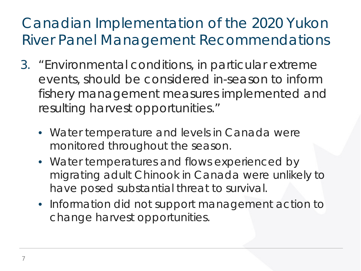- 3. "Environmental conditions, in particular extreme events, should be considered in-season to inform fishery management measures implemented and resulting harvest opportunities."
	- Water temperature and levels in Canada were monitored throughout the season.
	- Water temperatures and flows experienced by migrating adult Chinook in Canada were unlikely to have posed substantial threat to survival.
	- Information did not support management action to change harvest opportunities.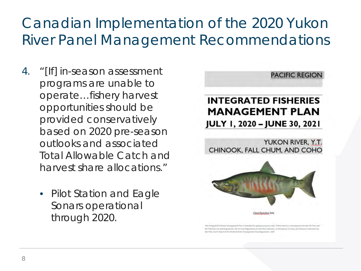- 4. "[If] in-season assessment programs are unable to operate…fishery harvest opportunities should be provided conservatively based on 2020 pre-season outlooks and associated Total Allowable Catch and harvest share allocations."
	- Pilot Station and Eagle Sonars operational through 2020.



This Integrated Fasheries Management Plan is intended his general purposes only. Where thuse is a statio eponsy between the Plan and in Fisheroni Art and Regulations, the Art and Regulations are the final authority. A dethis Plan can be tound to the Pacific Folony Management Area Regulations, 2007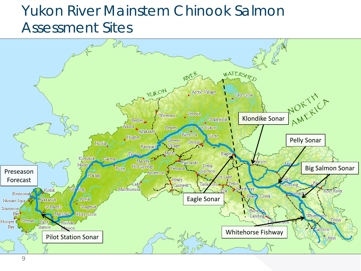#### Yukon River Mainstem Chinook Salmon Assessment Sites

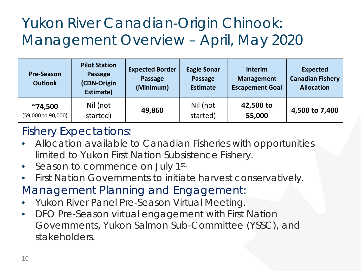# Yukon River Canadian-Origin Chinook: Management Overview – April, May 2020

| <b>Pre-Season</b><br><b>Outlook</b>   | <b>Pilot Station</b><br>Passage<br>(CDN-Origin<br>Estimate) | <b>Expected Border</b><br>Passage<br>(Minimum) | <b>Eagle Sonar</b><br><b>Passage</b><br><b>Estimate</b> | <b>Interim</b><br><b>Management</b><br><b>Escapement Goal</b> | <b>Expected</b><br><b>Canadian Fishery</b><br><b>Allocation</b> |
|---------------------------------------|-------------------------------------------------------------|------------------------------------------------|---------------------------------------------------------|---------------------------------------------------------------|-----------------------------------------------------------------|
| $^{\sim}74,500$<br>(59,000 to 90,000) | Nil (not<br>started)                                        | 49,860                                         | Nil (not<br>started)                                    | 42,500 to<br>55,000                                           | 4,500 to 7,400                                                  |

#### Fishery Expectations:

- Allocation available to Canadian Fisheries with opportunities limited to Yukon First Nation Subsistence Fishery.
- Season to commence on July 1st.
- First Nation Governments to initiate harvest conservatively.
- Management Planning and Engagement:
- Yukon River Panel Pre-Season Virtual Meeting.
- DFO Pre-Season virtual engagement with First Nation Governments, Yukon Salmon Sub-Committee (YSSC), and stakeholders.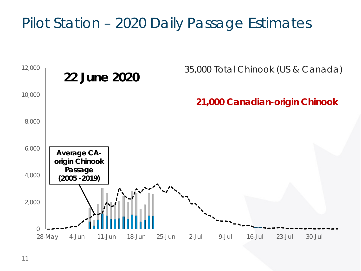### Pilot Station – 2020 Daily Passage Estimates

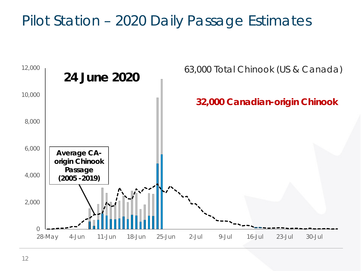### Pilot Station – 2020 Daily Passage Estimates

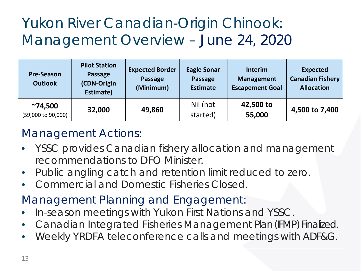# Yukon River Canadian-Origin Chinook: Management Overview – June 24, 2020

| <b>Pre-Season</b><br><b>Outlook</b>   | <b>Pilot Station</b><br>Passage<br>(CDN-Origin<br>Estimate) | <b>Expected Border</b><br>Passage<br>(Minimum) | <b>Eagle Sonar</b><br>Passage<br><b>Estimate</b> | <b>Interim</b><br><b>Management</b><br><b>Escapement Goal</b> | <b>Expected</b><br><b>Canadian Fishery</b><br><b>Allocation</b> |
|---------------------------------------|-------------------------------------------------------------|------------------------------------------------|--------------------------------------------------|---------------------------------------------------------------|-----------------------------------------------------------------|
| $^{\sim}74,500$<br>(59,000 to 90,000) | 32,000                                                      | 49,860                                         | Nil (not<br>started)                             | 42,500 to<br>55,000                                           | 4,500 to 7,400                                                  |

#### Management Actions:

- YSSC provides Canadian fishery allocation and management recommendations to DFO Minister.
- Public angling catch and retention limit reduced to zero.
- Commercial and Domestic Fisheries Closed.
- Management Planning and Engagement:
- In-season meetings with Yukon First Nations and YSSC.
- Canadian Integrated Fisheries Management Plan (IFMP) Finalized.
- Weekly YRDFA teleconference calls and meetings with ADF&G.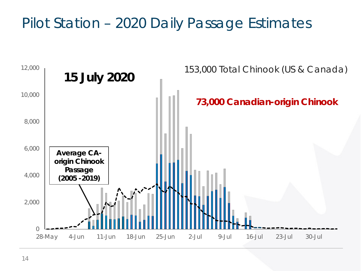### Pilot Station – 2020 Daily Passage Estimates

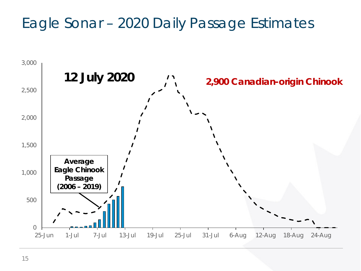### Eagle Sonar – 2020 Daily Passage Estimates

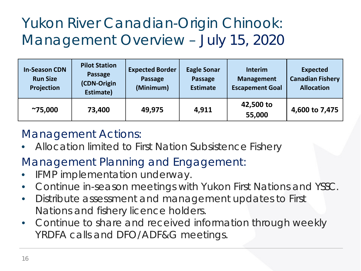# Yukon River Canadian-Origin Chinook: Management Overview – July 15, 2020

| <b>In-Season CDN</b><br><b>Run Size</b><br>Projection | <b>Pilot Station</b><br>Passage<br>(CDN-Origin<br>Estimate) | <b>Expected Border</b><br><b>Passage</b><br>(Minimum) | <b>Eagle Sonar</b><br>Passage<br><b>Estimate</b> | <b>Interim</b><br><b>Management</b><br><b>Escapement Goal</b> | <b>Expected</b><br><b>Canadian Fishery</b><br><b>Allocation</b> |
|-------------------------------------------------------|-------------------------------------------------------------|-------------------------------------------------------|--------------------------------------------------|---------------------------------------------------------------|-----------------------------------------------------------------|
| $^{\sim}75,000$                                       | 73,400                                                      | 49,975                                                | 4,911                                            | 42,500 to<br>55,000                                           | 4,600 to 7,475                                                  |

#### Management Actions:

• Allocation limited to First Nation Subsistence Fishery

#### Management Planning and Engagement:

- IFMP implementation underway.
- Continue in-season meetings with Yukon First Nations and YSSC.
- Distribute assessment and management updates to First Nations and fishery licence holders.
- Continue to share and received information through weekly YRDFA calls and DFO/ADF&G meetings.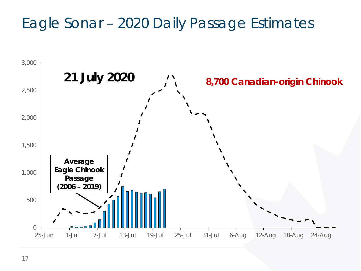### Eagle Sonar – 2020 Daily Passage Estimates

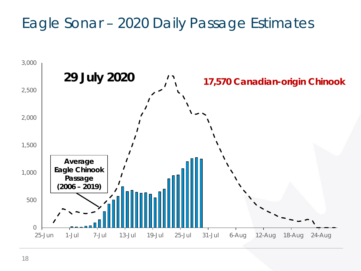### Eagle Sonar – 2020 Daily Passage Estimates

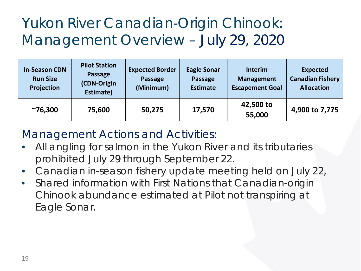## Yukon River Canadian-Origin Chinook: Management Overview – July 29, 2020

| <b>In-Season CDN</b><br><b>Run Size</b><br>Projection | <b>Pilot Station</b><br>Passage<br>(CDN-Origin<br>Estimate) | <b>Expected Border</b><br><b>Passage</b><br>(Minimum) | <b>Eagle Sonar</b><br>Passage<br><b>Estimate</b> | <b>Interim</b><br><b>Management</b><br><b>Escapement Goal</b> | <b>Expected</b><br><b>Canadian Fishery</b><br><b>Allocation</b> |
|-------------------------------------------------------|-------------------------------------------------------------|-------------------------------------------------------|--------------------------------------------------|---------------------------------------------------------------|-----------------------------------------------------------------|
| $^{\sim}76,300$                                       | 75,600                                                      | 50,275                                                | 17,570                                           | 42,500 to<br>55,000                                           | 4,900 to 7,775                                                  |

#### Management Actions and Activities:

- All angling for salmon in the Yukon River and its tributaries prohibited July 29 through September 22.
- Canadian in-season fishery update meeting held on July 22,
- Shared information with First Nations that Canadian-origin Chinook abundance estimated at Pilot not transpiring at Eagle Sonar.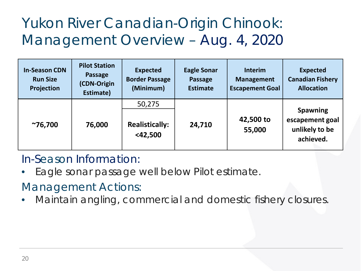# Yukon River Canadian-Origin Chinook: Management Overview – Aug. 4, 2020

| <b>In-Season CDN</b><br><b>Run Size</b><br>Projection | <b>Pilot Station</b><br>Passage<br>(CDN-Origin<br>Estimate) | <b>Expected</b><br><b>Border Passage</b><br>(Minimum) | <b>Eagle Sonar</b><br>Passage<br><b>Estimate</b> | <b>Interim</b><br><b>Management</b><br><b>Escapement Goal</b> | <b>Expected</b><br><b>Canadian Fishery</b><br><b>Allocation</b> |
|-------------------------------------------------------|-------------------------------------------------------------|-------------------------------------------------------|--------------------------------------------------|---------------------------------------------------------------|-----------------------------------------------------------------|
| $^{\sim}76,700$                                       | 76,000                                                      | 50,275<br><b>Realistically:</b><br>$<$ 42,500         | 24,710                                           | 42,500 to<br>55,000                                           | <b>Spawning</b><br>escapement goal<br>unlikely to be            |
|                                                       |                                                             |                                                       |                                                  |                                                               | achieved.                                                       |

#### In-Season Information:

Eagle sonar passage well below Pilot estimate.

#### Management Actions:

• Maintain angling, commercial and domestic fishery closures.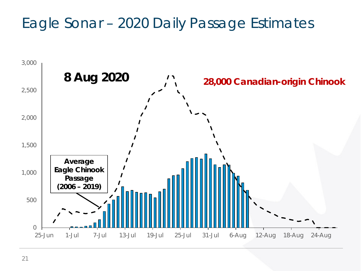### Eagle Sonar – 2020 Daily Passage Estimates

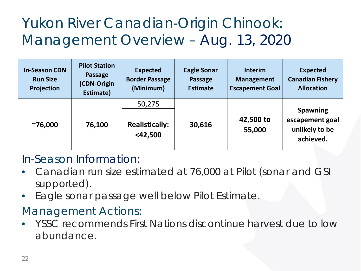# Yukon River Canadian-Origin Chinook: Management Overview – Aug. 13, 2020

| <b>In-Season CDN</b><br><b>Run Size</b><br>Projection | <b>Pilot Station</b><br>Passage<br>(CDN-Origin<br>Estimate) | <b>Expected</b><br><b>Border Passage</b><br>(Minimum) | <b>Eagle Sonar</b><br>Passage<br><b>Estimate</b> | <b>Interim</b><br><b>Management</b><br><b>Escapement Goal</b> | <b>Expected</b><br><b>Canadian Fishery</b><br><b>Allocation</b>   |
|-------------------------------------------------------|-------------------------------------------------------------|-------------------------------------------------------|--------------------------------------------------|---------------------------------------------------------------|-------------------------------------------------------------------|
|                                                       |                                                             | 50,275                                                |                                                  |                                                               |                                                                   |
| $^{\sim}76,000$                                       | 76,100                                                      | <b>Realistically:</b><br>$<$ 42,500                   | 30,616                                           | 42,500 to<br>55,000                                           | <b>Spawning</b><br>escapement goal<br>unlikely to be<br>achieved. |

#### In-Season Information:

- Canadian run size estimated at 76,000 at Pilot (sonar and GSI supported).
- Eagle sonar passage well below Pilot Estimate.

#### Management Actions:

• YSSC recommends First Nations discontinue harvest due to low abundance.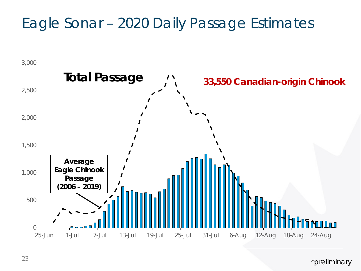## Eagle Sonar – 2020 Daily Passage Estimates



*\*preliminary*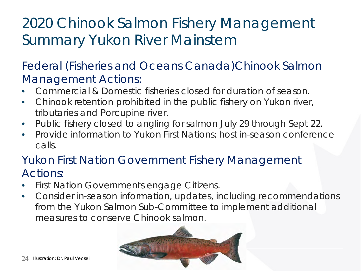## 2020 Chinook Salmon Fishery Management Summary Yukon River Mainstem

#### Federal (Fisheries and Oceans Canada)Chinook Salmon Management Actions:

- Commercial & Domestic fisheries closed for duration of season.
- Chinook retention prohibited in the public fishery on Yukon river, tributaries and Porcupine river.
- Public fishery closed to angling for salmon July 29 through Sept 22.
- Provide information to Yukon First Nations; host in-season conference calls.

#### Yukon First Nation Government Fishery Management Actions:

- First Nation Governments engage Citizens.
- Consider in-season information, updates, including recommendations from the Yukon Salmon Sub-Committee to implement additional measures to conserve Chinook salmon.

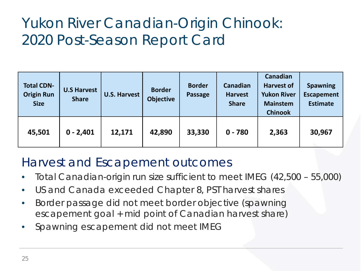## Yukon River Canadian-Origin Chinook: 2020 Post-Season Report Card

| <b>Total CDN-</b><br><b>Origin Run</b><br><b>Size</b> | <b>U.S Harvest</b><br><b>Share</b> | <b>U.S. Harvest</b> | <b>Border</b><br><b>Objective</b> | <b>Border</b><br><b>Passage</b> | Canadian<br><b>Harvest</b><br><b>Share</b> | Canadian<br><b>Harvest of</b><br><b>Yukon River</b><br><b>Mainstem</b><br><b>Chinook</b> | <b>Spawning</b><br><b>Escapement</b><br><b>Estimate</b> |
|-------------------------------------------------------|------------------------------------|---------------------|-----------------------------------|---------------------------------|--------------------------------------------|------------------------------------------------------------------------------------------|---------------------------------------------------------|
| 45,501                                                | $0 - 2,401$                        | 12,171              | 42,890                            | 33,330                          | $0 - 780$                                  | 2,363                                                                                    | 30,967                                                  |

#### Harvest and Escapement outcomes

- Total Canadian-origin run size sufficient to meet IMEG (42,500 55,000)
- US and Canada exceeded Chapter 8, PST harvest shares
- Border passage did not meet border objective (spawning escapement goal + mid point of Canadian harvest share)
- Spawning escapement did not meet IMEG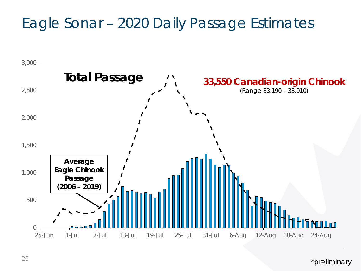## Eagle Sonar – 2020 Daily Passage Estimates



*\*preliminary*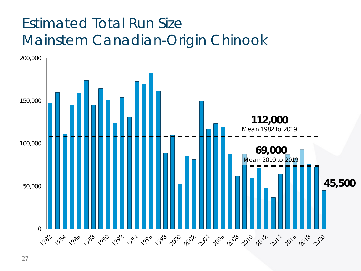## Estimated Total Run Size Mainstem Canadian-Origin Chinook

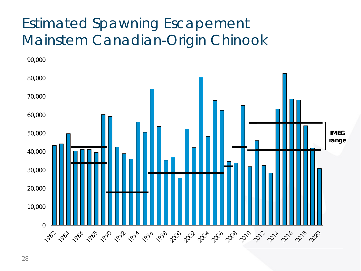# Estimated Spawning Escapement Mainstem Canadian-Origin Chinook

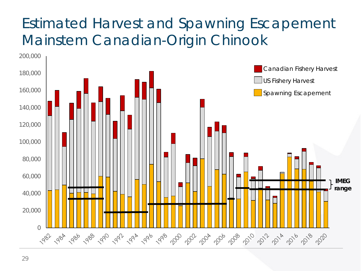## Estimated Harvest and Spawning Escapement Mainstem Canadian-Origin Chinook

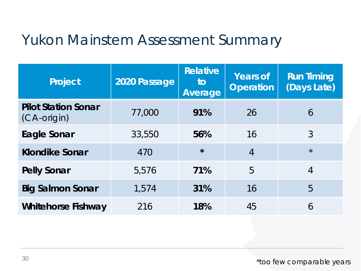#### Yukon Mainstem Assessment Summary

| <b>Project</b>                            | 2020 Passage | <b>Relative</b><br>to<br>Average | <b>Years of</b><br><b>Operation</b> | <b>Run Timing</b><br>(Days Late) |
|-------------------------------------------|--------------|----------------------------------|-------------------------------------|----------------------------------|
| <b>Pilot Station Sonar</b><br>(CA-origin) | 77,000       | 91%                              | 26                                  | 6                                |
| <b>Eagle Sonar</b>                        | 33,550       | 56%                              | 16                                  | 3                                |
| <b>Klondike Sonar</b>                     | 470          | $\star$                          | $\overline{4}$                      | $\star$                          |
| <b>Pelly Sonar</b>                        | 5,576        | 71%                              | 5                                   | $\overline{4}$                   |
| <b>Big Salmon Sonar</b>                   | 1,574        | 31%                              | 16                                  | 5                                |
| <b>Whitehorse Fishway</b>                 | 216          | 18%                              | 45                                  | 6                                |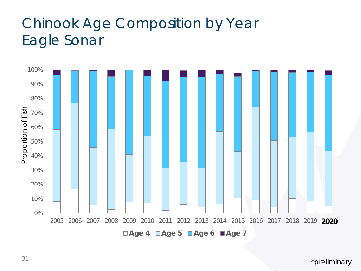## Chinook Age Composition by Year Eagle Sonar

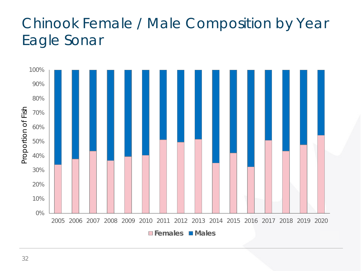## Chinook Female / Male Composition by Year Eagle Sonar

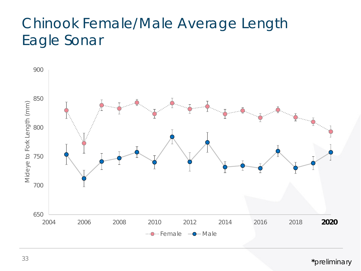### Chinook Female/Male Average Length Eagle Sonar

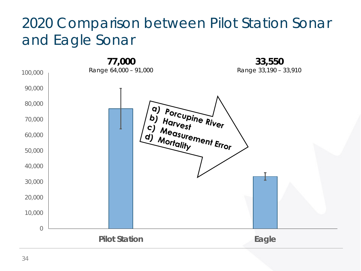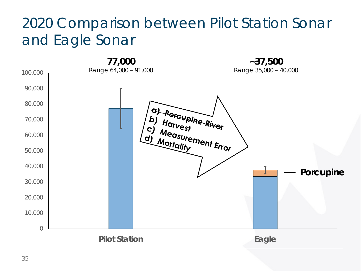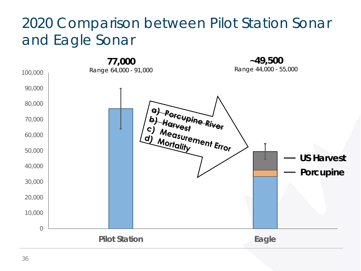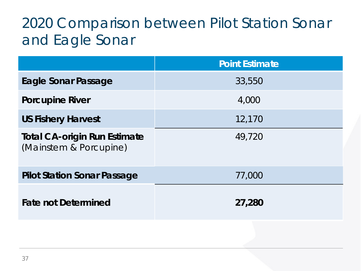|                                                               | <b>Point Estimate</b> |
|---------------------------------------------------------------|-----------------------|
| Eagle Sonar Passage                                           | 33,550                |
| <b>Porcupine River</b>                                        | 4,000                 |
| <b>US Fishery Harvest</b>                                     | 12,170                |
| <b>Total CA-origin Run Estimate</b><br>(Mainstem & Porcupine) | 49,720                |
| <b>Pilot Station Sonar Passage</b>                            | 77,000                |
| <b>Fate not Determined</b>                                    | 27,280                |
|                                                               |                       |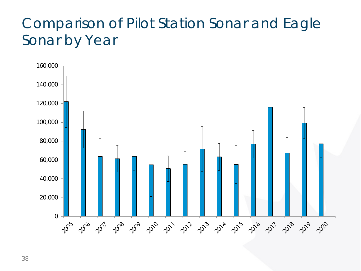### Comparison of Pilot Station Sonar and Eagle Sonar by Year

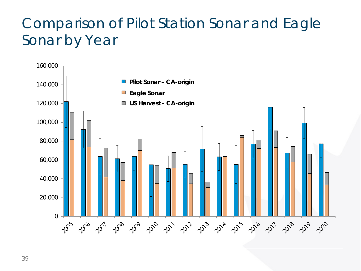## Comparison of Pilot Station Sonar and Eagle Sonar by Year

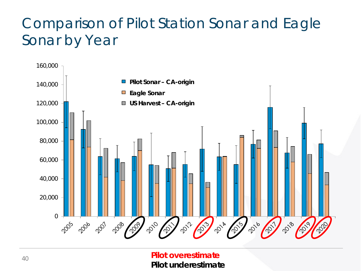## Comparison of Pilot Station Sonar and Eagle Sonar by Year



**Pilot overestimate Pilot underestimate**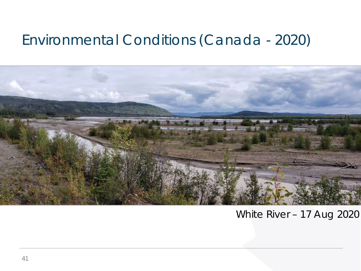#### Environmental Conditions (Canada - 2020)



#### White River – 17 Aug 2020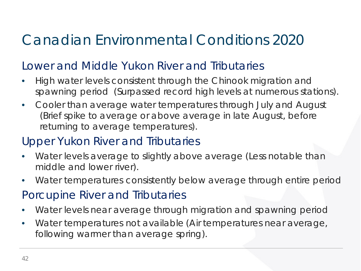## Canadian Environmental Conditions 2020

#### Lower and Middle Yukon River and Tributaries

- High water levels consistent through the Chinook migration and spawning period *(Surpassed record high levels at numerous stations).*
- Cooler than average water temperatures through July and August *(Brief spike to average or above average in late August, before returning to average temperatures).*

#### Upper Yukon River and Tributaries

- Water levels average to slightly above average *(Less notable than middle and lower river).*
- Water temperatures consistently below average through entire period

#### Porcupine River and Tributaries

- Water levels near average through migration and spawning period
- Water temperatures not available *(Air temperatures near average, following warmer than average spring).*